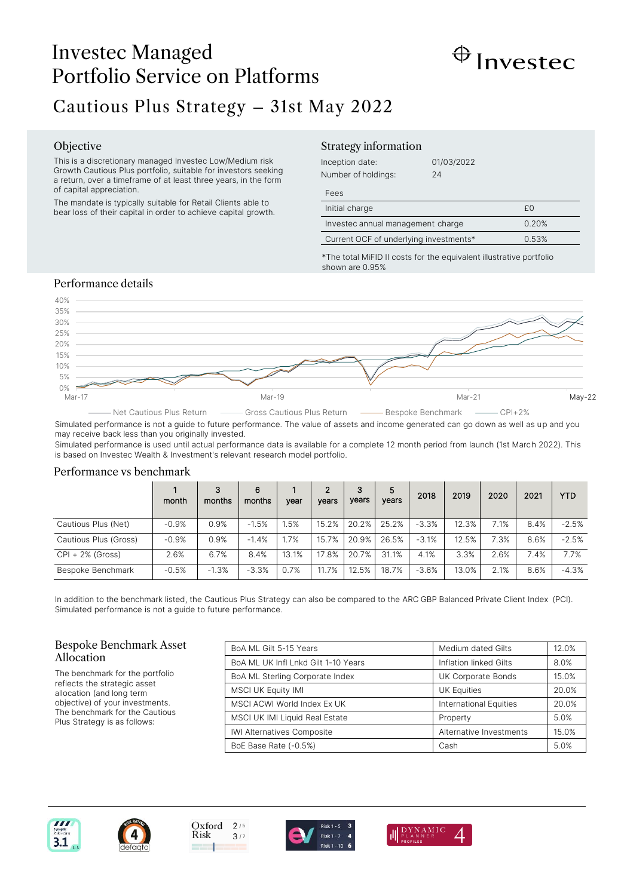# Investec Managed Portfolio Service on Platforms



# Cautious Plus Strategy – 31st May 2022

#### Objective

This is a discretionary managed Investec Low/Medium risk Growth Cautious Plus portfolio, suitable for investors seeking a return, over a timeframe of at least three years, in the form of capital appreciation.

The mandate is typically suitable for Retail Clients able to bear loss of their capital in order to achieve capital growth.

### Strategy information

| Inception date:     | 01/03/2022 |
|---------------------|------------|
| Number of holdings: | 24         |

Fees

| Initial charge                         | £Ω    |
|----------------------------------------|-------|
| Investec annual management charge      | 0.20% |
| Current OCF of underlying investments* | 0.53% |

\*The total MiFID II costs for the equivalent illustrative portfolio shown are 0.95%

## Performance details



Simulated performance is not a guide to future performance. The value of assets and income generated can go down as well as up and you may receive back less than you originally invested.

Simulated performance is used until actual performance data is available for a complete 12 month period from launch (1st March 2022). This is based on Investec Wealth & Investment's relevant research model portfolio.

#### Performance vs benchmark

|                       | month   | 3<br>months | 6<br>months | vear  | 2<br>vears | 3<br>years | 5<br>years | 2018    | 2019  | 2020 | 2021 | <b>YTD</b> |
|-----------------------|---------|-------------|-------------|-------|------------|------------|------------|---------|-------|------|------|------------|
| Cautious Plus (Net)   | $-0.9%$ | 0.9%        | $-1.5%$     | .5%   | 15.2%      | 20.2%      | 25.2%      | $-3.3%$ | 12.3% | 7.1% | 8.4% | $-2.5%$    |
| Cautious Plus (Gross) | $-0.9%$ | 0.9%        | $-1.4%$     | .7%   | 15.7%      | 20.9%      | 26.5%      | $-3.1%$ | 12.5% | 7.3% | 8.6% | $-2.5%$    |
| $CPI + 2\%$ (Gross)   | 2.6%    | 6.7%        | 8.4%        | 13.1% | 17.8%      | 20.7%      | 31.1%      | 4.1%    | 3.3%  | 2.6% | 7.4% | 7.7%       |
| Bespoke Benchmark     | $-0.5%$ | $-1.3%$     | $-3.3%$     | 0.7%  | 11.7%      | 12.5%      | 18.7%      | $-3.6%$ | 13.0% | 2.1% | 8.6% | $-4.3%$    |

In addition to the benchmark listed, the Cautious Plus Strategy can also be compared to the ARC GBP Balanced Private Client Index (PCI). Simulated performance is not a guide to future performance.

#### Bespoke Benchmark Asset Allocation

The benchmark for the portfolio reflects the strategic asset allocation (and long term objective) of your investments. The benchmark for the Cautious Plus Strategy is as follows:

| BoA ML Gilt 5-15 Years              | Medium dated Gilts      | 12.0% |
|-------------------------------------|-------------------------|-------|
| BoA ML UK Infl Lnkd Gilt 1-10 Years | Inflation linked Gilts  | 8.0%  |
| BoA ML Sterling Corporate Index     | UK Corporate Bonds      | 15.0% |
| <b>MSCI UK Equity IMI</b>           | <b>UK Equities</b>      | 20.0% |
| MSCI ACWI World Index Ex UK         | International Equities  | 20.0% |
| MSCI UK IMI Liquid Real Estate      | Property                | 5.0%  |
| IWI Alternatives Composite          | Alternative Investments | 15.0% |
| BoE Base Rate (-0.5%)               | Cash                    | 5.0%  |







 $3/7$